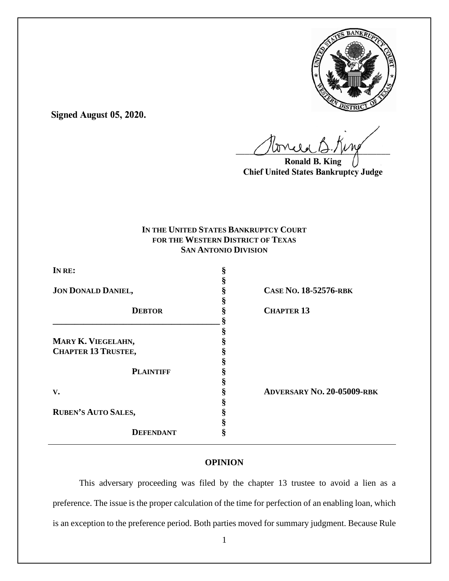

**Signed August 05, 2020.**

 $U^{WVQQ}$ 

**Ronald B. King Chief United States Bankruptcy Judge**

# **IN THE UNITED STATES BANKRUPTCY COURT FOR THE WESTERN DISTRICT OF TEXAS SAN ANTONIO DIVISION**

| IN RE:                     | ş  |                                   |
|----------------------------|----|-----------------------------------|
|                            |    |                                   |
| <b>JON DONALD DANIEL,</b>  |    | CASE No. 18-52576-RBK             |
|                            |    |                                   |
| <b>DEBTOR</b>              |    | <b>CHAPTER 13</b>                 |
|                            |    |                                   |
|                            |    |                                   |
| MARY K. VIEGELAHN,         |    |                                   |
| <b>CHAPTER 13 TRUSTEE,</b> |    |                                   |
|                            |    |                                   |
| <b>PLAINTIFF</b>           |    |                                   |
|                            |    |                                   |
| V.                         |    | <b>ADVERSARY NO. 20-05009-RBK</b> |
|                            |    |                                   |
| <b>RUBEN'S AUTO SALES,</b> |    |                                   |
|                            |    |                                   |
| <b>DEFENDANT</b>           | \$ |                                   |
|                            |    |                                   |

# **OPINION**

This adversary proceeding was filed by the chapter 13 trustee to avoid a lien as a preference. The issue is the proper calculation of the time for perfection of an enabling loan, which is an exception to the preference period. Both parties moved for summary judgment. Because Rule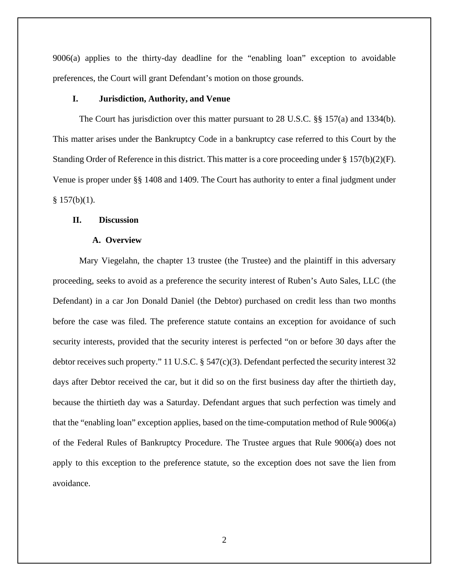9006(a) applies to the thirty-day deadline for the "enabling loan" exception to avoidable preferences, the Court will grant Defendant's motion on those grounds.

# **I. Jurisdiction, Authority, and Venue**

The Court has jurisdiction over this matter pursuant to 28 U.S.C. §§ 157(a) and 1334(b). This matter arises under the Bankruptcy Code in a bankruptcy case referred to this Court by the Standing Order of Reference in this district. This matter is a core proceeding under § 157(b)(2)(F). Venue is proper under §§ 1408 and 1409. The Court has authority to enter a final judgment under  $§ 157(b)(1).$ 

### **II. Discussion**

#### **A. Overview**

Mary Viegelahn, the chapter 13 trustee (the Trustee) and the plaintiff in this adversary proceeding, seeks to avoid as a preference the security interest of Ruben's Auto Sales, LLC (the Defendant) in a car Jon Donald Daniel (the Debtor) purchased on credit less than two months before the case was filed. The preference statute contains an exception for avoidance of such security interests, provided that the security interest is perfected "on or before 30 days after the debtor receives such property." 11 U.S.C. § 547(c)(3). Defendant perfected the security interest 32 days after Debtor received the car, but it did so on the first business day after the thirtieth day, because the thirtieth day was a Saturday. Defendant argues that such perfection was timely and that the "enabling loan" exception applies, based on the time-computation method of Rule 9006(a) of the Federal Rules of Bankruptcy Procedure. The Trustee argues that Rule 9006(a) does not apply to this exception to the preference statute, so the exception does not save the lien from avoidance.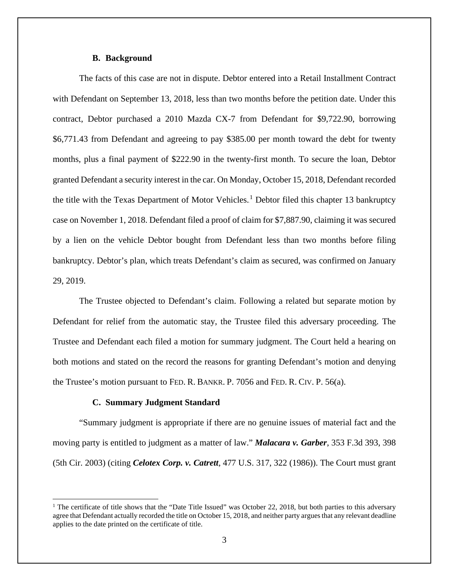#### **B. Background**

The facts of this case are not in dispute. Debtor entered into a Retail Installment Contract with Defendant on September 13, 2018, less than two months before the petition date. Under this contract, Debtor purchased a 2010 Mazda CX-7 from Defendant for \$9,722.90, borrowing \$6,771.43 from Defendant and agreeing to pay \$385.00 per month toward the debt for twenty months, plus a final payment of \$222.90 in the twenty-first month. To secure the loan, Debtor granted Defendant a security interest in the car. On Monday, October 15, 2018, Defendant recorded the title with the Texas Department of Motor Vehicles.<sup>1</sup> Debtor filed this chapter 13 bankruptcy case on November 1, 2018. Defendant filed a proof of claim for \$7,887.90, claiming it was secured by a lien on the vehicle Debtor bought from Defendant less than two months before filing bankruptcy. Debtor's plan, which treats Defendant's claim as secured, was confirmed on January 29, 2019.

The Trustee objected to Defendant's claim. Following a related but separate motion by Defendant for relief from the automatic stay, the Trustee filed this adversary proceeding. The Trustee and Defendant each filed a motion for summary judgment. The Court held a hearing on both motions and stated on the record the reasons for granting Defendant's motion and denying the Trustee's motion pursuant to FED. R. BANKR. P. 7056 and FED. R. CIV. P. 56(a).

### **C. Summary Judgment Standard**

"Summary judgment is appropriate if there are no genuine issues of material fact and the moving party is entitled to judgment as a matter of law." *Malacara v. Garber*, 353 F.3d 393, 398 (5th Cir. 2003) (citing *Celotex Corp. v. Catrett*, 477 U.S. 317, 322 (1986)). The Court must grant

<sup>&</sup>lt;sup>1</sup> The certificate of title shows that the "Date Title Issued" was October 22, 2018, but both parties to this adversary agree that Defendant actually recorded the title on October 15, 2018, and neither party argues that any relevant deadline applies to the date printed on the certificate of title.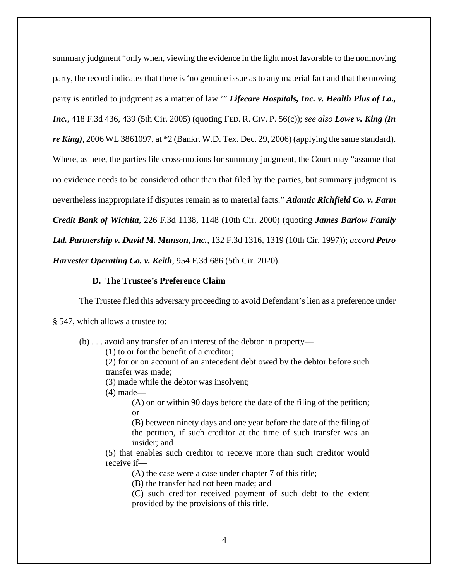summary judgment "only when, viewing the evidence in the light most favorable to the nonmoving party, the record indicates that there is 'no genuine issue as to any material fact and that the moving party is entitled to judgment as a matter of law.'" *Lifecare Hospitals, Inc. v. Health Plus of La., Inc.*, 418 F.3d 436, 439 (5th Cir. 2005) (quoting FED. R. CIV. P. 56(c)); *see also Lowe v. King (In re King)*, 2006 WL 3861097, at \*2 (Bankr. W.D. Tex. Dec. 29, 2006) (applying the same standard). Where, as here, the parties file cross-motions for summary judgment, the Court may "assume that no evidence needs to be considered other than that filed by the parties, but summary judgment is nevertheless inappropriate if disputes remain as to material facts." *Atlantic Richfield Co. v. Farm Credit Bank of Wichita*, 226 F.3d 1138, 1148 (10th Cir. 2000) (quoting *James Barlow Family Ltd. Partnership v. David M. Munson, Inc.*, 132 F.3d 1316, 1319 (10th Cir. 1997)); *accord Petro Harvester Operating Co. v. Keith*, 954 F.3d 686 (5th Cir. 2020).

### **D. The Trustee's Preference Claim**

The Trustee filed this adversary proceeding to avoid Defendant's lien as a preference under

§ 547, which allows a trustee to:

(b) . . . avoid any transfer of an interest of the debtor in property—

(1) to or for the benefit of a creditor;

(2) for or on account of an antecedent debt owed by the debtor before such transfer was made;

(3) made while the debtor was insolvent;

(4) made—

(A) on or within 90 days before the date of the filing of the petition; or

(B) between ninety days and one year before the date of the filing of the petition, if such creditor at the time of such transfer was an insider; and

(5) that enables such creditor to receive more than such creditor would receive if—

(A) the case were a case under chapter 7 of this title;

(B) the transfer had not been made; and

(C) such creditor received payment of such debt to the extent provided by the provisions of this title.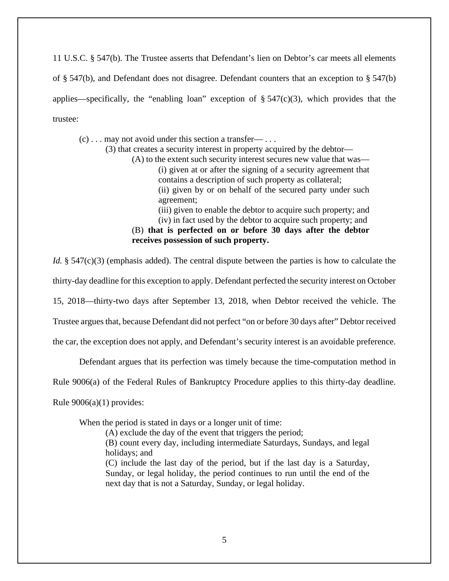11 U.S.C. § 547(b). The Trustee asserts that Defendant's lien on Debtor's car meets all elements of § 547(b), and Defendant does not disagree. Defendant counters that an exception to § 547(b) applies—specifically, the "enabling loan" exception of  $\S 547(c)(3)$ , which provides that the trustee:

 $(c)$ ... may not avoid under this section a transfer— ...

(3) that creates a security interest in property acquired by the debtor—

(A) to the extent such security interest secures new value that was— (i) given at or after the signing of a security agreement that contains a description of such property as collateral; (ii) given by or on behalf of the secured party under such

agreement;

(iii) given to enable the debtor to acquire such property; and (iv) in fact used by the debtor to acquire such property; and

(B) **that is perfected on or before 30 days after the debtor receives possession of such property.**

*Id.* § 547(c)(3) (emphasis added). The central dispute between the parties is how to calculate the

thirty-day deadline for this exception to apply. Defendant perfected the security interest on October

15, 2018—thirty-two days after September 13, 2018, when Debtor received the vehicle. The

Trustee argues that, because Defendant did not perfect "on or before 30 days after" Debtor received

the car, the exception does not apply, and Defendant's security interest is an avoidable preference.

Defendant argues that its perfection was timely because the time-computation method in

Rule 9006(a) of the Federal Rules of Bankruptcy Procedure applies to this thirty-day deadline.

Rule 9006(a)(1) provides:

When the period is stated in days or a longer unit of time:

(A) exclude the day of the event that triggers the period;

(B) count every day, including intermediate Saturdays, Sundays, and legal holidays; and

(C) include the last day of the period, but if the last day is a Saturday, Sunday, or legal holiday, the period continues to run until the end of the next day that is not a Saturday, Sunday, or legal holiday.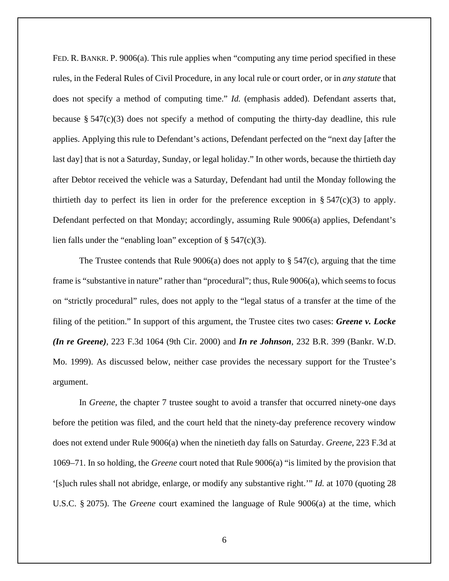FED. R. BANKR. P. 9006(a). This rule applies when "computing any time period specified in these rules, in the Federal Rules of Civil Procedure, in any local rule or court order, or in *any statute* that does not specify a method of computing time." *Id.* (emphasis added). Defendant asserts that, because  $\S 547(c)(3)$  does not specify a method of computing the thirty-day deadline, this rule applies. Applying this rule to Defendant's actions, Defendant perfected on the "next day [after the last day] that is not a Saturday, Sunday, or legal holiday." In other words, because the thirtieth day after Debtor received the vehicle was a Saturday, Defendant had until the Monday following the thirtieth day to perfect its lien in order for the preference exception in  $\S$  547(c)(3) to apply. Defendant perfected on that Monday; accordingly, assuming Rule 9006(a) applies, Defendant's lien falls under the "enabling loan" exception of  $\S$  547(c)(3).

The Trustee contends that Rule  $9006(a)$  does not apply to § 547(c), arguing that the time frame is "substantive in nature" rather than "procedural"; thus, Rule 9006(a), which seems to focus on "strictly procedural" rules, does not apply to the "legal status of a transfer at the time of the filing of the petition." In support of this argument, the Trustee cites two cases: *Greene v. Locke (In re Greene)*, 223 F.3d 1064 (9th Cir. 2000) and *In re Johnson*, 232 B.R. 399 (Bankr. W.D. Mo. 1999). As discussed below, neither case provides the necessary support for the Trustee's argument.

In *Greene*, the chapter 7 trustee sought to avoid a transfer that occurred ninety-one days before the petition was filed, and the court held that the ninety-day preference recovery window does not extend under Rule 9006(a) when the ninetieth day falls on Saturday. *Greene*, 223 F.3d at 1069–71. In so holding, the *Greene* court noted that Rule 9006(a) "is limited by the provision that '[s]uch rules shall not abridge, enlarge, or modify any substantive right.'" *Id.* at 1070 (quoting 28 U.S.C. § 2075). The *Greene* court examined the language of Rule 9006(a) at the time, which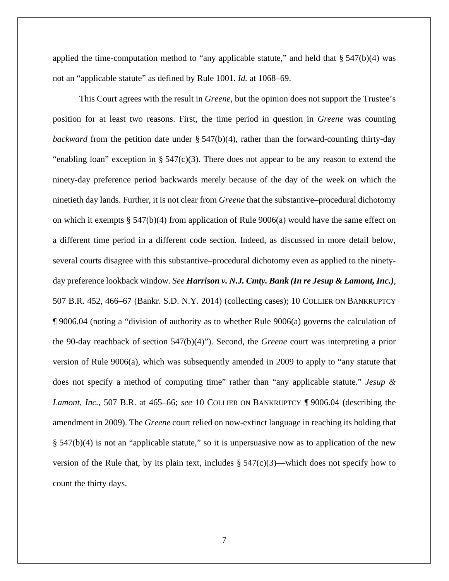applied the time-computation method to "any applicable statute," and held that  $\S$  547(b)(4) was not an "applicable statute" as defined by Rule 1001. *Id.* at 1068–69.

This Court agrees with the result in *Greene*, but the opinion does not support the Trustee's position for at least two reasons. First, the time period in question in *Greene* was counting *backward* from the petition date under § 547(b)(4), rather than the forward-counting thirty-day "enabling loan" exception in  $\S 547(c)(3)$ . There does not appear to be any reason to extend the ninety-day preference period backwards merely because of the day of the week on which the ninetieth day lands. Further, it is not clear from *Greene* that the substantive–procedural dichotomy on which it exempts  $\S$  547(b)(4) from application of Rule 9006(a) would have the same effect on a different time period in a different code section. Indeed, as discussed in more detail below, several courts disagree with this substantive–procedural dichotomy even as applied to the ninetyday preference lookback window. *See Harrison v. N.J. Cmty. Bank (In re Jesup & Lamont, Inc.)*, 507 B.R. 452, 466–67 (Bankr. S.D. N.Y. 2014) (collecting cases); 10 COLLIER ON BANKRUPTCY ¶ 9006.04 (noting a "division of authority as to whether Rule 9006(a) governs the calculation of the 90-day reachback of section 547(b)(4)"). Second, the *Greene* court was interpreting a prior version of Rule 9006(a), which was subsequently amended in 2009 to apply to "any statute that does not specify a method of computing time" rather than "any applicable statute." *Jesup & Lamont, Inc.*, 507 B.R. at 465–66; *see* 10 COLLIER ON BANKRUPTCY ¶ 9006.04 (describing the amendment in 2009). The *Greene* court relied on now-extinct language in reaching its holding that § 547(b)(4) is not an "applicable statute," so it is unpersuasive now as to application of the new version of the Rule that, by its plain text, includes  $\S 547(c)(3)$ —which does not specify how to count the thirty days.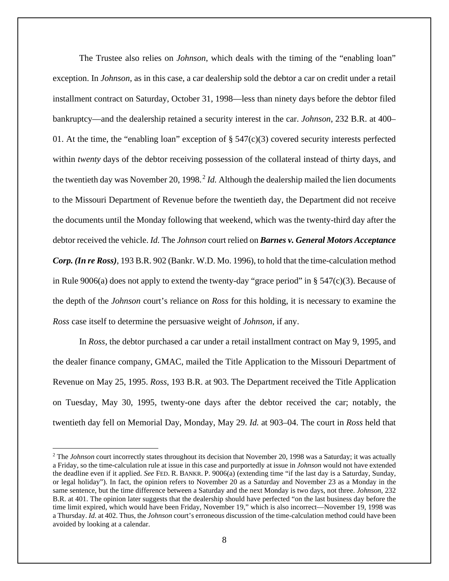The Trustee also relies on *Johnson*, which deals with the timing of the "enabling loan" exception. In *Johnson*, as in this case, a car dealership sold the debtor a car on credit under a retail installment contract on Saturday, October 31, 1998—less than ninety days before the debtor filed bankruptcy—and the dealership retained a security interest in the car. *Johnson*, 232 B.R. at 400– 01. At the time, the "enabling loan" exception of  $\S 547(c)(3)$  covered security interests perfected within *twenty* days of the debtor receiving possession of the collateral instead of thirty days, and the twentieth day was November 20, 1998.<sup>2</sup> *Id*. Although the dealership mailed the lien documents to the Missouri Department of Revenue before the twentieth day, the Department did not receive the documents until the Monday following that weekend, which was the twenty-third day after the debtor received the vehicle. *Id.* The *Johnson* court relied on *Barnes v. General Motors Acceptance Corp. (In re Ross)*, 193 B.R. 902 (Bankr. W.D. Mo. 1996), to hold that the time-calculation method in Rule 9006(a) does not apply to extend the twenty-day "grace period" in  $\S$  547(c)(3). Because of the depth of the *Johnson* court's reliance on *Ross* for this holding, it is necessary to examine the *Ross* case itself to determine the persuasive weight of *Johnson*, if any.

In *Ross*, the debtor purchased a car under a retail installment contract on May 9, 1995, and the dealer finance company, GMAC, mailed the Title Application to the Missouri Department of Revenue on May 25, 1995. *Ross*, 193 B.R. at 903. The Department received the Title Application on Tuesday, May 30, 1995, twenty-one days after the debtor received the car; notably, the twentieth day fell on Memorial Day, Monday, May 29. *Id.* at 903–04. The court in *Ross* held that

<sup>&</sup>lt;sup>2</sup> The *Johnson* court incorrectly states throughout its decision that November 20, 1998 was a Saturday; it was actually a Friday, so the time-calculation rule at issue in this case and purportedly at issue in *Johnson* would not have extended the deadline even if it applied. *See* FED. R. BANKR. P. 9006(a) (extending time "if the last day is a Saturday, Sunday, or legal holiday"). In fact, the opinion refers to November 20 as a Saturday and November 23 as a Monday in the same sentence, but the time difference between a Saturday and the next Monday is two days, not three. *Johnson*, 232 B.R. at 401. The opinion later suggests that the dealership should have perfected "on the last business day before the time limit expired, which would have been Friday, November 19," which is also incorrect—November 19, 1998 was a Thursday. *Id.* at 402. Thus, the *Johnson* court's erroneous discussion of the time-calculation method could have been avoided by looking at a calendar.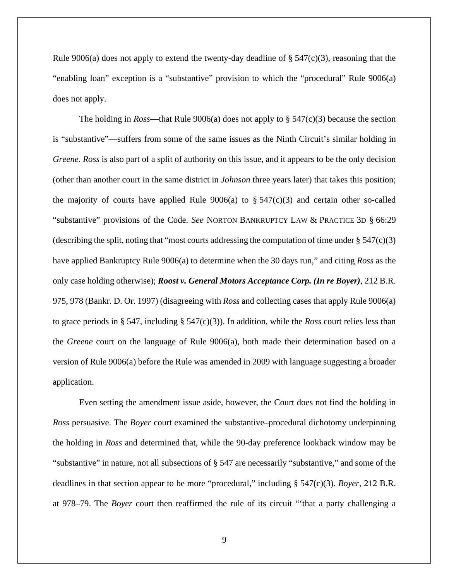Rule 9006(a) does not apply to extend the twenty-day deadline of  $\S$  547(c)(3), reasoning that the "enabling loan" exception is a "substantive" provision to which the "procedural" Rule 9006(a) does not apply.

The holding in *Ross*—that Rule 9006(a) does not apply to § 547(c)(3) because the section is "substantive"—suffers from some of the same issues as the Ninth Circuit's similar holding in *Greene*. *Ross* is also part of a split of authority on this issue, and it appears to be the only decision (other than another court in the same district in *Johnson* three years later) that takes this position; the majority of courts have applied Rule  $9006(a)$  to  $\S 547(c)(3)$  and certain other so-called "substantive" provisions of the Code. *See* NORTON BANKRUPTCY LAW & PRACTICE 3D § 66:29 (describing the split, noting that "most courts addressing the computation of time under § 547(c)(3) have applied Bankruptcy Rule 9006(a) to determine when the 30 days run," and citing *Ross* as the only case holding otherwise); *Roost v. General Motors Acceptance Corp. (In re Boyer)*, 212 B.R. 975, 978 (Bankr. D. Or. 1997) (disagreeing with *Ross* and collecting cases that apply Rule 9006(a) to grace periods in § 547, including §  $547(c)(3)$ ). In addition, while the *Ross* court relies less than the *Greene* court on the language of Rule 9006(a), both made their determination based on a version of Rule 9006(a) before the Rule was amended in 2009 with language suggesting a broader application.

Even setting the amendment issue aside, however, the Court does not find the holding in *Ross* persuasive. The *Boyer* court examined the substantive–procedural dichotomy underpinning the holding in *Ross* and determined that, while the 90-day preference lookback window may be "substantive" in nature, not all subsections of § 547 are necessarily "substantive," and some of the deadlines in that section appear to be more "procedural," including § 547(c)(3). *Boyer*, 212 B.R. at 978–79. The *Boyer* court then reaffirmed the rule of its circuit "'that a party challenging a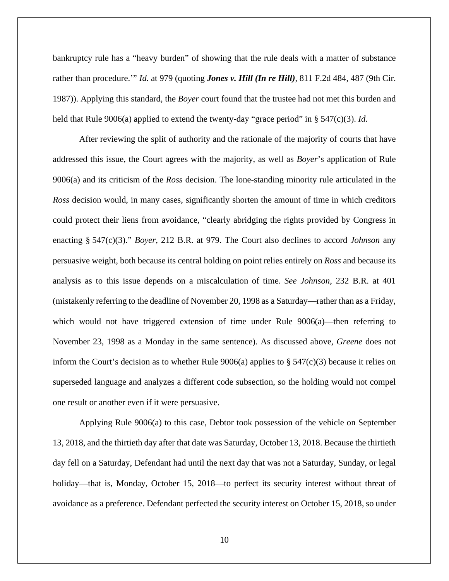bankruptcy rule has a "heavy burden" of showing that the rule deals with a matter of substance rather than procedure.'" *Id.* at 979 (quoting *Jones v. Hill (In re Hill)*, 811 F.2d 484, 487 (9th Cir. 1987)). Applying this standard, the *Boyer* court found that the trustee had not met this burden and held that Rule 9006(a) applied to extend the twenty-day "grace period" in § 547(c)(3). *Id.*

After reviewing the split of authority and the rationale of the majority of courts that have addressed this issue, the Court agrees with the majority, as well as *Boyer*'s application of Rule 9006(a) and its criticism of the *Ross* decision. The lone-standing minority rule articulated in the *Ross* decision would, in many cases, significantly shorten the amount of time in which creditors could protect their liens from avoidance, "clearly abridging the rights provided by Congress in enacting § 547(c)(3)." *Boyer*, 212 B.R. at 979. The Court also declines to accord *Johnson* any persuasive weight, both because its central holding on point relies entirely on *Ross* and because its analysis as to this issue depends on a miscalculation of time. *See Johnson*, 232 B.R. at 401 (mistakenly referring to the deadline of November 20, 1998 as a Saturday—rather than as a Friday, which would not have triggered extension of time under Rule  $9006(a)$ —then referring to November 23, 1998 as a Monday in the same sentence). As discussed above, *Greene* does not inform the Court's decision as to whether Rule  $9006(a)$  applies to § 547(c)(3) because it relies on superseded language and analyzes a different code subsection, so the holding would not compel one result or another even if it were persuasive.

Applying Rule 9006(a) to this case, Debtor took possession of the vehicle on September 13, 2018, and the thirtieth day after that date was Saturday, October 13, 2018. Because the thirtieth day fell on a Saturday, Defendant had until the next day that was not a Saturday, Sunday, or legal holiday—that is, Monday, October 15, 2018—to perfect its security interest without threat of avoidance as a preference. Defendant perfected the security interest on October 15, 2018, so under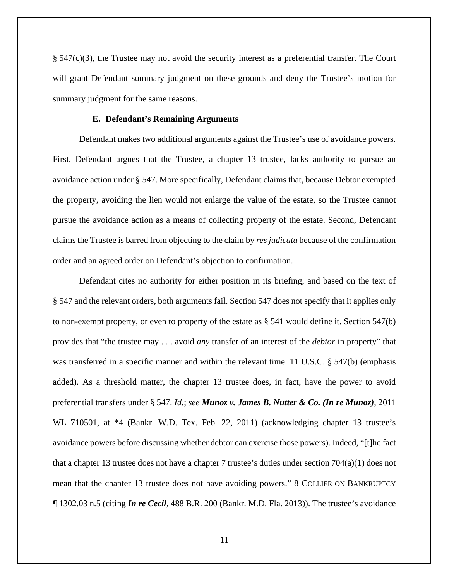§ 547(c)(3), the Trustee may not avoid the security interest as a preferential transfer. The Court will grant Defendant summary judgment on these grounds and deny the Trustee's motion for summary judgment for the same reasons.

## **E. Defendant's Remaining Arguments**

Defendant makes two additional arguments against the Trustee's use of avoidance powers. First, Defendant argues that the Trustee, a chapter 13 trustee, lacks authority to pursue an avoidance action under § 547. More specifically, Defendant claims that, because Debtor exempted the property, avoiding the lien would not enlarge the value of the estate, so the Trustee cannot pursue the avoidance action as a means of collecting property of the estate. Second, Defendant claims the Trustee is barred from objecting to the claim by *res judicata* because of the confirmation order and an agreed order on Defendant's objection to confirmation.

Defendant cites no authority for either position in its briefing, and based on the text of § 547 and the relevant orders, both arguments fail. Section 547 does not specify that it applies only to non-exempt property, or even to property of the estate as  $\S$  541 would define it. Section 547(b) provides that "the trustee may . . . avoid *any* transfer of an interest of the *debtor* in property" that was transferred in a specific manner and within the relevant time. 11 U.S.C. § 547(b) (emphasis added). As a threshold matter, the chapter 13 trustee does, in fact, have the power to avoid preferential transfers under § 547. *Id.*; *see Munoz v. James B. Nutter & Co. (In re Munoz)*, 2011 WL 710501, at \*4 (Bankr. W.D. Tex. Feb. 22, 2011) (acknowledging chapter 13 trustee's avoidance powers before discussing whether debtor can exercise those powers). Indeed, "[t]he fact that a chapter 13 trustee does not have a chapter 7 trustee's duties under section 704(a)(1) does not mean that the chapter 13 trustee does not have avoiding powers." 8 COLLIER ON BANKRUPTCY ¶ 1302.03 n.5 (citing *In re Cecil*, 488 B.R. 200 (Bankr. M.D. Fla. 2013)). The trustee's avoidance